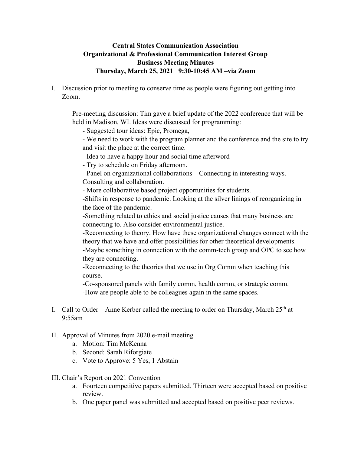## **Central States Communication Association Organizational & Professional Communication Interest Group Business Meeting Minutes Thursday, March 25, 2021 9:30-10:45 AM –via Zoom**

I. Discussion prior to meeting to conserve time as people were figuring out getting into Zoom.

Pre-meeting discussion: Tim gave a brief update of the 2022 conference that will be held in Madison, WI. Ideas were discussed for programming:

- Suggested tour ideas: Epic, Promega,

- We need to work with the program planner and the conference and the site to try and visit the place at the correct time.
- Idea to have a happy hour and social time afterword
- Try to schedule on Friday afternoon.
- Panel on organizational collaborations—Connecting in interesting ways. Consulting and collaboration.
- More collaborative based project opportunities for students.

-Shifts in response to pandemic. Looking at the silver linings of reorganizing in the face of the pandemic.

-Something related to ethics and social justice causes that many business are connecting to. Also consider environmental justice.

-Reconnecting to theory. How have these organizational changes connect with the theory that we have and offer possibilities for other theoretical developments.

-Maybe something in connection with the comm-tech group and OPC to see how they are connecting.

-Reconnecting to the theories that we use in Org Comm when teaching this course.

-Co-sponsored panels with family comm, health comm, or strategic comm.

-How are people able to be colleagues again in the same spaces.

I. Call to Order – Anne Kerber called the meeting to order on Thursday, March  $25<sup>th</sup>$  at 9:55am

## II. Approval of Minutes from 2020 e-mail meeting

- a. Motion: Tim McKenna
- b. Second: Sarah Riforgiate
- c. Vote to Approve: 5 Yes, 1 Abstain
- III. Chair's Report on 2021 Convention
	- a. Fourteen competitive papers submitted. Thirteen were accepted based on positive review.
	- b. One paper panel was submitted and accepted based on positive peer reviews.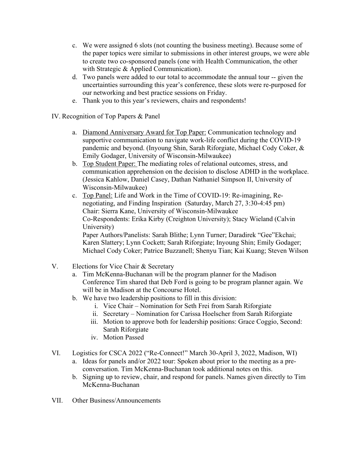- c. We were assigned 6 slots (not counting the business meeting). Because some of the paper topics were similar to submissions in other interest groups, we were able to create two co-sponsored panels (one with Health Communication, the other with Strategic & Applied Communication).
- d. Two panels were added to our total to accommodate the annual tour -- given the uncertainties surrounding this year's conference, these slots were re-purposed for our networking and best practice sessions on Friday.
- e. Thank you to this year's reviewers, chairs and respondents!
- IV. Recognition of Top Papers & Panel
	- a. Diamond Anniversary Award for Top Paper: Communication technology and supportive communication to navigate work-life conflict during the COVID-19 pandemic and beyond. (Inyoung Shin, Sarah Riforgiate, Michael Cody Coker, & Emily Godager, University of Wisconsin-Milwaukee)
	- b. Top Student Paper: The mediating roles of relational outcomes, stress, and communication apprehension on the decision to disclose ADHD in the workplace. (Jessica Kahlow, Daniel Casey, Dathan Nathaniel Simpson II, University of Wisconsin-Milwaukee)
	- c. Top Panel: Life and Work in the Time of COVID-19: Re-imagining, Renegotiating, and Finding Inspiration (Saturday, March 27, 3:30-4:45 pm) Chair: Sierra Kane, University of Wisconsin-Milwaukee Co-Respondents: Erika Kirby (Creighton University); Stacy Wieland (Calvin University) Paper Authors/Panelists: Sarah Blithe; Lynn Turner; Daradirek "Gee"Ekchai; Karen Slattery; Lynn Cockett; Sarah Riforgiate; Inyoung Shin; Emily Godager; Michael Cody Coker; Patrice Buzzanell; Shenyu Tian; Kai Kuang; Steven Wilson
- V. Elections for Vice Chair & Secretary
	- a. Tim McKenna-Buchanan will be the program planner for the Madison Conference Tim shared that Deb Ford is going to be program planner again. We will be in Madison at the Concourse Hotel.
	- b. We have two leadership positions to fill in this division:
		- i. Vice Chair Nomination for Seth Frei from Sarah Riforgiate
		- ii. Secretary Nomination for Carissa Hoelscher from Sarah Riforgiate
		- iii. Motion to approve both for leadership positions: Grace Coggio, Second: Sarah Riforgiate
		- iv. Motion Passed
- VI. Logistics for CSCA 2022 ("Re-Connect!" March 30-April 3, 2022, Madison, WI)
	- a. Ideas for panels and/or 2022 tour: Spoken about prior to the meeting as a preconversation. Tim McKenna-Buchanan took additional notes on this.
	- b. Signing up to review, chair, and respond for panels. Names given directly to Tim McKenna-Buchanan
- VII. Other Business/Announcements